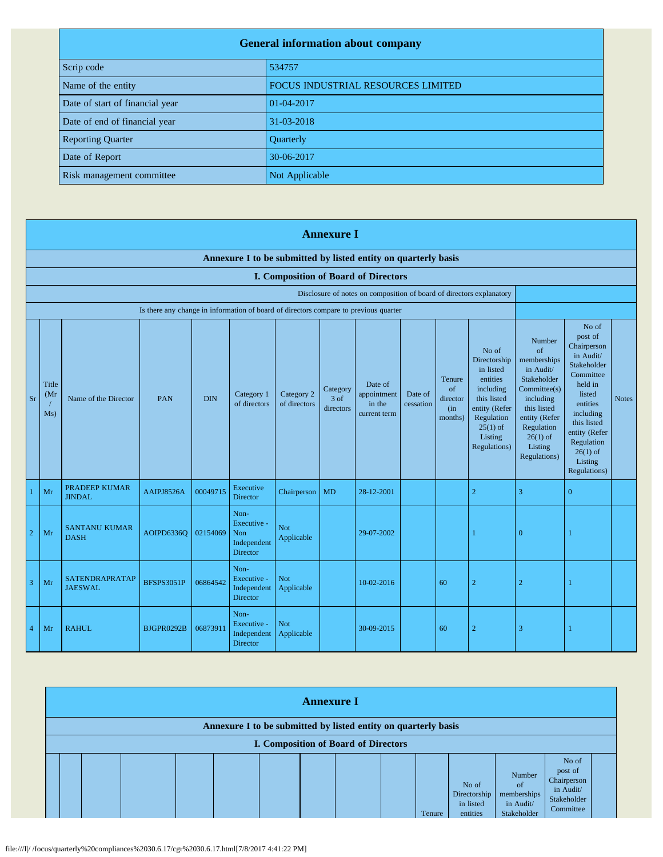| <b>General information about company</b> |                                           |  |
|------------------------------------------|-------------------------------------------|--|
| Scrip code                               | 534757                                    |  |
| Name of the entity                       | <b>FOCUS INDUSTRIAL RESOURCES LIMITED</b> |  |
| Date of start of financial year          | 01-04-2017                                |  |
| Date of end of financial year            | 31-03-2018                                |  |
| <b>Reporting Quarter</b>                 | Quarterly                                 |  |
| Date of Report                           | 30-06-2017                                |  |
| Risk management committee                | Not Applicable                            |  |

|                | <b>Annexure I</b>                                              |                                       |                                                                                      |            |                                                              |                            |                                 |                                                                      |                      |                                            |                                                                                                                                                    |                                                                                                                                                                                    |                                                                                                                                                                                                      |              |
|----------------|----------------------------------------------------------------|---------------------------------------|--------------------------------------------------------------------------------------|------------|--------------------------------------------------------------|----------------------------|---------------------------------|----------------------------------------------------------------------|----------------------|--------------------------------------------|----------------------------------------------------------------------------------------------------------------------------------------------------|------------------------------------------------------------------------------------------------------------------------------------------------------------------------------------|------------------------------------------------------------------------------------------------------------------------------------------------------------------------------------------------------|--------------|
|                | Annexure I to be submitted by listed entity on quarterly basis |                                       |                                                                                      |            |                                                              |                            |                                 |                                                                      |                      |                                            |                                                                                                                                                    |                                                                                                                                                                                    |                                                                                                                                                                                                      |              |
|                |                                                                |                                       |                                                                                      |            |                                                              |                            |                                 | <b>I. Composition of Board of Directors</b>                          |                      |                                            |                                                                                                                                                    |                                                                                                                                                                                    |                                                                                                                                                                                                      |              |
|                |                                                                |                                       | Is there any change in information of board of directors compare to previous quarter |            |                                                              |                            |                                 | Disclosure of notes on composition of board of directors explanatory |                      |                                            |                                                                                                                                                    |                                                                                                                                                                                    |                                                                                                                                                                                                      |              |
|                |                                                                |                                       |                                                                                      |            |                                                              |                            |                                 |                                                                      |                      |                                            |                                                                                                                                                    |                                                                                                                                                                                    | No of                                                                                                                                                                                                |              |
| <b>Sr</b>      | Title<br>(Mr<br>Ms)                                            | Name of the Director                  | PAN                                                                                  | <b>DIN</b> | Category 1<br>of directors                                   | Category 2<br>of directors | Category<br>$3$ of<br>directors | Date of<br>appointment<br>in the<br>current term                     | Date of<br>cessation | Tenure<br>of<br>director<br>(in<br>months) | No of<br>Directorship<br>in listed<br>entities<br>including<br>this listed<br>entity (Refer<br>Regulation<br>$25(1)$ of<br>Listing<br>Regulations) | <b>Number</b><br>of<br>memberships<br>in Audit/<br>Stakeholder<br>Committee(s)<br>including<br>this listed<br>entity (Refer<br>Regulation<br>$26(1)$ of<br>Listing<br>Regulations) | post of<br>Chairperson<br>in Audit/<br>Stakeholder<br>Committee<br>held in<br>listed<br>entities<br>including<br>this listed<br>entity (Refer<br>Regulation<br>$26(1)$ of<br>Listing<br>Regulations) | <b>Notes</b> |
|                | Mr                                                             | <b>PRADEEP KUMAR</b><br><b>JINDAL</b> | AAIPJ8526A                                                                           | 00049715   | Executive<br><b>Director</b>                                 | Chairperson                | <b>MD</b>                       | 28-12-2001                                                           |                      |                                            | $\overline{c}$                                                                                                                                     | $\overline{3}$                                                                                                                                                                     | $\overline{0}$                                                                                                                                                                                       |              |
| $\overline{2}$ | Mr                                                             | <b>SANTANU KUMAR</b><br><b>DASH</b>   | <b>AOIPD6336O</b>                                                                    | 02154069   | Non-<br>Executive -<br><b>Non</b><br>Independent<br>Director | <b>Not</b><br>Applicable   |                                 | 29-07-2002                                                           |                      |                                            |                                                                                                                                                    | $\overline{0}$                                                                                                                                                                     |                                                                                                                                                                                                      |              |
| 3              | Mr                                                             | SATENDRAPRATAP<br><b>JAESWAL</b>      | <b>BFSPS3051P</b>                                                                    | 06864542   | Non-<br>Executive -<br>Independent<br>Director               | <b>Not</b><br>Applicable   |                                 | 10-02-2016                                                           |                      | 60                                         | $\overline{c}$                                                                                                                                     | $\overline{c}$                                                                                                                                                                     |                                                                                                                                                                                                      |              |
| $\overline{4}$ | Mr                                                             | <b>RAHUL</b>                          | BJGPR0292B                                                                           | 06873911   | Non-<br>Executive -<br>Independent<br><b>Director</b>        | <b>Not</b><br>Applicable   |                                 | 30-09-2015                                                           |                      | 60                                         | $\overline{c}$                                                                                                                                     | 3                                                                                                                                                                                  |                                                                                                                                                                                                      |              |

| <b>Annexure I</b>                                                                                             |  |  |  |  |  |  |  |  |        |                                                |                                                                    |                                                                          |  |
|---------------------------------------------------------------------------------------------------------------|--|--|--|--|--|--|--|--|--------|------------------------------------------------|--------------------------------------------------------------------|--------------------------------------------------------------------------|--|
| Annexure I to be submitted by listed entity on quarterly basis<br><b>I. Composition of Board of Directors</b> |  |  |  |  |  |  |  |  |        |                                                |                                                                    |                                                                          |  |
|                                                                                                               |  |  |  |  |  |  |  |  | Tenure | No of<br>Directorship<br>in listed<br>entities | Number<br><sub>of</sub><br>memberships<br>in Audit/<br>Stakeholder | No of<br>post of<br>Chairperson<br>in Audit/<br>Stakeholder<br>Committee |  |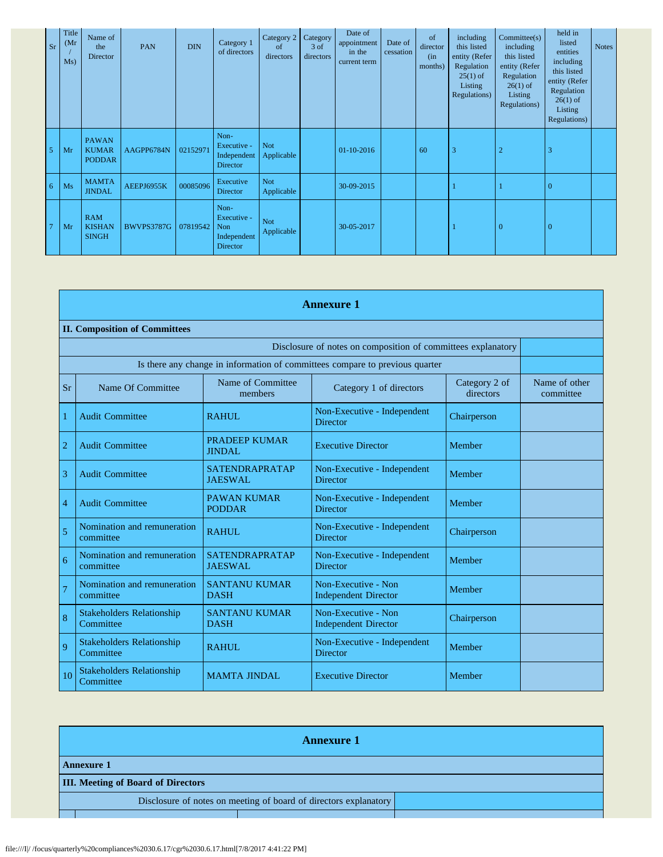| <b>Sr</b>      | Title<br>(Mr)<br>Ms) | Name of<br>the<br>Director                    | PAN        | <b>DIN</b> | Category 1<br>of directors                                   | Category 2<br>of<br>directors | Category<br>$3$ of<br>directors | Date of<br>appointment<br>in the<br>current term | Date of<br>cessation | of<br>director<br>(in<br>months) | including<br>this listed<br>entity (Refer<br>Regulation<br>$25(1)$ of<br>Listing<br>Regulations) | Commitee(s)<br>including<br>this listed<br>entity (Refer<br>Regulation<br>$26(1)$ of<br>Listing<br>Regulations) | held in<br>listed<br>entities<br>including<br>this listed<br>entity (Refer<br>Regulation<br>$26(1)$ of<br>Listing<br>Regulations) | <b>Notes</b> |
|----------------|----------------------|-----------------------------------------------|------------|------------|--------------------------------------------------------------|-------------------------------|---------------------------------|--------------------------------------------------|----------------------|----------------------------------|--------------------------------------------------------------------------------------------------|-----------------------------------------------------------------------------------------------------------------|-----------------------------------------------------------------------------------------------------------------------------------|--------------|
| 5 <sup>1</sup> | Mr                   | <b>PAWAN</b><br><b>KUMAR</b><br><b>PODDAR</b> | AAGPP6784N | 02152971   | Non-<br>Executive -<br>Independent<br><b>Director</b>        | <b>Not</b><br>Applicable      |                                 | 01-10-2016                                       |                      | 60                               | 3                                                                                                | $\overline{2}$                                                                                                  | 3                                                                                                                                 |              |
| 6 <sup>1</sup> | Ms                   | <b>MAMTA</b><br><b>JINDAL</b>                 | AEEPJ6955K | 00085096   | Executive<br>Director                                        | <b>Not</b><br>Applicable      |                                 | 30-09-2015                                       |                      |                                  |                                                                                                  |                                                                                                                 | $\overline{0}$                                                                                                                    |              |
| $\overline{7}$ | Mr                   | <b>RAM</b><br><b>KISHAN</b><br><b>SINGH</b>   | BWVPS3787G | 07819542   | Non-<br>Executive -<br>Non<br>Independent<br><b>Director</b> | <b>Not</b><br>Applicable      |                                 | 30-05-2017                                       |                      |                                  |                                                                                                  | $\overline{0}$                                                                                                  | $\mathbf{0}$                                                                                                                      |              |

|                                                              | <b>Annexure 1</b>                             |                                         |                                                                              |                            |                            |  |  |
|--------------------------------------------------------------|-----------------------------------------------|-----------------------------------------|------------------------------------------------------------------------------|----------------------------|----------------------------|--|--|
|                                                              | <b>II. Composition of Committees</b>          |                                         |                                                                              |                            |                            |  |  |
| Disclosure of notes on composition of committees explanatory |                                               |                                         |                                                                              |                            |                            |  |  |
|                                                              |                                               |                                         | Is there any change in information of committees compare to previous quarter |                            |                            |  |  |
| <b>Sr</b>                                                    | Name Of Committee                             | Name of Committee<br>members            | Category 1 of directors                                                      | Category 2 of<br>directors | Name of other<br>committee |  |  |
| 1                                                            | <b>Audit Committee</b>                        | <b>RAHUL</b>                            | Non-Executive - Independent<br><b>Director</b>                               | Chairperson                |                            |  |  |
| $\overline{2}$                                               | <b>Audit Committee</b>                        | PRADEEP KUMAR<br><b>JINDAL</b>          | <b>Executive Director</b>                                                    | Member                     |                            |  |  |
| 3                                                            | <b>Audit Committee</b>                        | <b>SATENDRAPRATAP</b><br><b>JAESWAL</b> | Non-Executive - Independent<br><b>Director</b>                               | Member                     |                            |  |  |
| $\overline{4}$                                               | <b>Audit Committee</b>                        | <b>PAWAN KUMAR</b><br><b>PODDAR</b>     | Non-Executive - Independent<br><b>Director</b>                               | Member                     |                            |  |  |
| $\overline{5}$                                               | Nomination and remuneration<br>committee      | RAHUL                                   | Non-Executive - Independent<br><b>Director</b>                               | Chairperson                |                            |  |  |
| 6                                                            | Nomination and remuneration<br>committee      | <b>SATENDRAPRATAP</b><br><b>JAESWAL</b> | Non-Executive - Independent<br><b>Director</b>                               | Member                     |                            |  |  |
| $\overline{7}$                                               | Nomination and remuneration<br>committee      | <b>SANTANU KUMAR</b><br><b>DASH</b>     | Non-Executive - Non<br><b>Independent Director</b>                           | Member                     |                            |  |  |
| 8                                                            | <b>Stakeholders Relationship</b><br>Committee | <b>SANTANU KUMAR</b><br><b>DASH</b>     | Non-Executive - Non<br><b>Independent Director</b>                           | Chairperson                |                            |  |  |
| 9                                                            | <b>Stakeholders Relationship</b><br>Committee | RAHUL                                   | Non-Executive - Independent<br><b>Director</b>                               | Member                     |                            |  |  |
| 10                                                           | <b>Stakeholders Relationship</b><br>Committee | <b>MAMTA JINDAL</b>                     | <b>Executive Director</b>                                                    | Member                     |                            |  |  |

| <b>Annexure 1</b>                                                |  |  |  |  |
|------------------------------------------------------------------|--|--|--|--|
| <b>Annexure 1</b>                                                |  |  |  |  |
| <b>III. Meeting of Board of Directors</b>                        |  |  |  |  |
| Disclosure of notes on meeting of board of directors explanatory |  |  |  |  |
|                                                                  |  |  |  |  |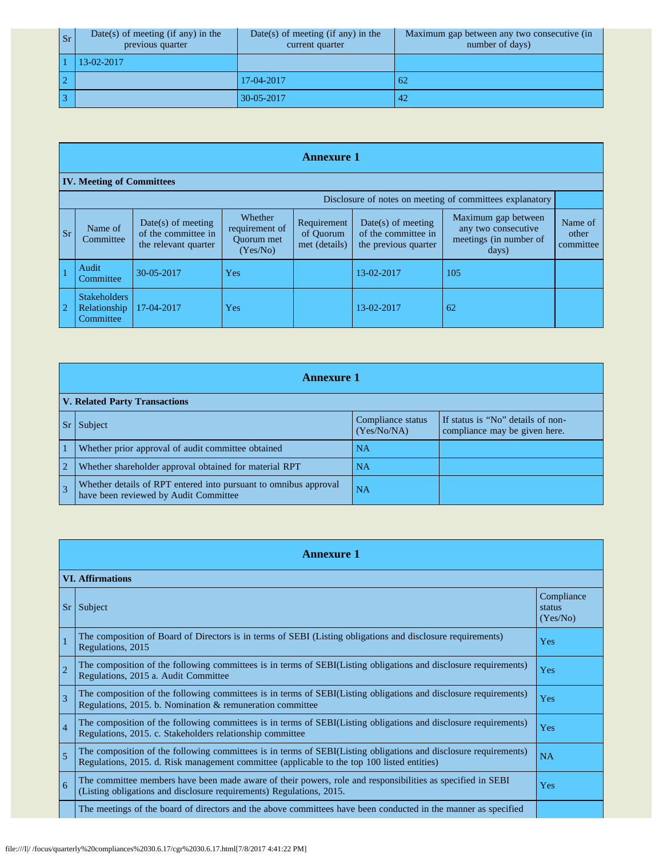| <b>Sr</b> | $Date(s)$ of meeting (if any) in the<br>previous quarter | $Date(s)$ of meeting (if any) in the<br>current quarter | Maximum gap between any two consecutive (in<br>number of days) |
|-----------|----------------------------------------------------------|---------------------------------------------------------|----------------------------------------------------------------|
|           | 13-02-2017                                               |                                                         |                                                                |
| $\bigcap$ |                                                          | 17-04-2017                                              | -62                                                            |
|           |                                                          | 30-05-2017                                              | 42                                                             |

|           | <b>Annexure 1</b>                                        |                                                                     |                                                            |                                           |                                                                     |                                                                               |                               |  |  |
|-----------|----------------------------------------------------------|---------------------------------------------------------------------|------------------------------------------------------------|-------------------------------------------|---------------------------------------------------------------------|-------------------------------------------------------------------------------|-------------------------------|--|--|
|           | <b>IV. Meeting of Committees</b>                         |                                                                     |                                                            |                                           |                                                                     |                                                                               |                               |  |  |
|           | Disclosure of notes on meeting of committees explanatory |                                                                     |                                                            |                                           |                                                                     |                                                                               |                               |  |  |
| <b>Sr</b> | Name of<br>Committee                                     | $Date(s)$ of meeting<br>of the committee in<br>the relevant quarter | Whether<br>requirement of<br><b>Ouorum</b> met<br>(Yes/No) | Requirement<br>of Ouorum<br>met (details) | $Date(s)$ of meeting<br>of the committee in<br>the previous quarter | Maximum gap between<br>any two consecutive<br>meetings (in number of<br>days) | Name of<br>other<br>committee |  |  |
|           | Audit<br>Committee                                       | 30-05-2017                                                          | Yes                                                        |                                           | 13-02-2017                                                          | 105                                                                           |                               |  |  |
|           | <b>Stakeholders</b><br>Relationship<br>Committee         | 17-04-2017                                                          | Yes                                                        |                                           | 13-02-2017                                                          | 62                                                                            |                               |  |  |

|                | <b>Annexure 1</b>                                                                                         |                                  |                                                                    |  |  |  |  |
|----------------|-----------------------------------------------------------------------------------------------------------|----------------------------------|--------------------------------------------------------------------|--|--|--|--|
|                | <b>V. Related Party Transactions</b>                                                                      |                                  |                                                                    |  |  |  |  |
|                | Subject                                                                                                   | Compliance status<br>(Yes/No/NA) | If status is "No" details of non-<br>compliance may be given here. |  |  |  |  |
|                | Whether prior approval of audit committee obtained                                                        | <b>NA</b>                        |                                                                    |  |  |  |  |
| $\overline{2}$ | Whether shareholder approval obtained for material RPT                                                    | <b>NA</b>                        |                                                                    |  |  |  |  |
|                | Whether details of RPT entered into pursuant to omnibus approval<br>have been reviewed by Audit Committee | <b>NA</b>                        |                                                                    |  |  |  |  |

|                | <b>Annexure 1</b>                                                                                                                                                                                               |                                  |  |  |  |  |
|----------------|-----------------------------------------------------------------------------------------------------------------------------------------------------------------------------------------------------------------|----------------------------------|--|--|--|--|
|                | <b>VI. Affirmations</b>                                                                                                                                                                                         |                                  |  |  |  |  |
| <b>Sr</b>      | Subject                                                                                                                                                                                                         | Compliance<br>status<br>(Yes/No) |  |  |  |  |
|                | The composition of Board of Directors is in terms of SEBI (Listing obligations and disclosure requirements)<br>Regulations, 2015                                                                                | Yes                              |  |  |  |  |
| $\overline{2}$ | The composition of the following committees is in terms of SEBI(Listing obligations and disclosure requirements)<br>Regulations, 2015 a. Audit Committee                                                        | Yes                              |  |  |  |  |
| 3              | The composition of the following committees is in terms of SEBI(Listing obligations and disclosure requirements)<br>Regulations, 2015. b. Nomination & remuneration committee                                   | Yes                              |  |  |  |  |
| $\overline{4}$ | The composition of the following committees is in terms of SEBI(Listing obligations and disclosure requirements)<br>Regulations, 2015. c. Stakeholders relationship committee                                   | Yes                              |  |  |  |  |
| 5              | The composition of the following committees is in terms of SEBI(Listing obligations and disclosure requirements)<br>Regulations, 2015. d. Risk management committee (applicable to the top 100 listed entities) | NA                               |  |  |  |  |
| 6              | The committee members have been made aware of their powers, role and responsibilities as specified in SEBI<br>(Listing obligations and disclosure requirements) Regulations, 2015.                              | Yes                              |  |  |  |  |
|                | The meetings of the board of directors and the above committees have been conducted in the manner as specified                                                                                                  |                                  |  |  |  |  |